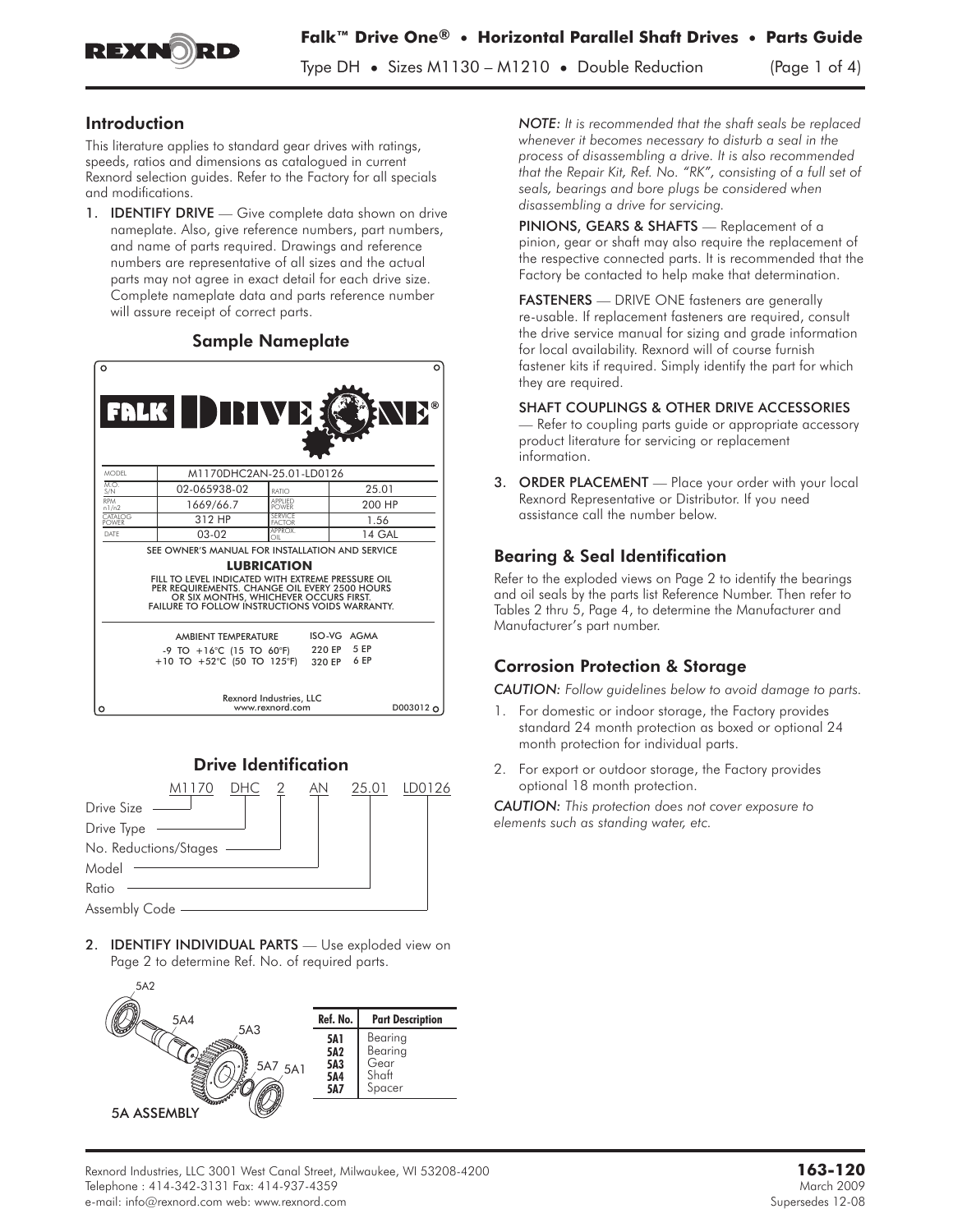

Type DH **•** Sizes M1130 – M1210 **•** Double Reduction (Page 1 of 4)

### Introduction

This literature applies to standard gear drives with ratings, speeds, ratios and dimensions as catalogued in current Rexnord selection guides. Refer to the Factory for all specials and modifications.

1. **IDENTIFY DRIVE** — Give complete data shown on drive nameplate. Also, give reference numbers, part numbers, and name of parts required. Drawings and reference numbers are representative of all sizes and the actual parts may not agree in exact detail for each drive size. Complete nameplate data and parts reference number will assure receipt of correct parts.

### Sample Nameplate

| $\circ$                                                                                                                                                                                                                                                                        | FALK DRIVE                                                                           |                                            | റ<br><b>NE</b> ®                   |
|--------------------------------------------------------------------------------------------------------------------------------------------------------------------------------------------------------------------------------------------------------------------------------|--------------------------------------------------------------------------------------|--------------------------------------------|------------------------------------|
| <b>MODEL</b>                                                                                                                                                                                                                                                                   | M1170DHC2AN-25.01-LD0126                                                             |                                            |                                    |
| MO<br>S/N                                                                                                                                                                                                                                                                      | 02-065938-02                                                                         | RATIO                                      | 25.01                              |
| RPM<br>n1/n2                                                                                                                                                                                                                                                                   | 1669/66.7                                                                            | <b>APPLIED</b><br><b>POWER</b>             | 200 HP                             |
| CATALOG<br><b>POWER</b>                                                                                                                                                                                                                                                        | 312 HP                                                                               | SERVICE<br><b>FACTOR</b>                   | 1.56                               |
| DATE                                                                                                                                                                                                                                                                           | $03-02$                                                                              | APPROX<br>$\cap$                           | 14 GAL                             |
| SEE OWNER'S MANUAL FOR INSTALLATION AND SERVICE<br><b>LUBRICATION</b><br>FILL TO LEVEL INDICATED WITH EXTREME PRESSURE OIL<br>PER REQUIREMENTS. CHANGE OIL EVERY 2500 HOURS<br>OR SIX MONTHS, WHICHEVER OCCURS FIRST.<br><b>FAILURE TO FOLLOW INSTRUCTIONS VOIDS WARRANTY.</b> |                                                                                      |                                            |                                    |
|                                                                                                                                                                                                                                                                                | <b>AMBIENT TEMPERATURE</b><br>-9 TO +16°C (15 TO 60°F)<br>+10 TO +52°C (50 TO 125°F) | 320 EP                                     | ISO-VG AGMA<br>220 EP 5 EP<br>6 FP |
| $\circ$                                                                                                                                                                                                                                                                        |                                                                                      | Rexnord Industries, LLC<br>www.rexnord.com | D003012 O                          |



2. **IDENTIFY INDIVIDUAL PARTS** - Use exploded view on Page 2 to determine Ref. No. of required parts.



*NOTE: It is recommended that the shaft seals be replaced whenever it becomes necessary to disturb a seal in the process of disassembling a drive. It is also recommended that the Repair Kit, Ref. No. "RK", consisting of a full set of seals, bearings and bore plugs be considered when disassembling a drive for servicing.* process of disassembling a drive. It is also recomme<br>that the Repair Kit, Ref. No. "RK", consisting of a full<br>seals, bearings and bore plugs be considered when<br>disassembling a drive for servicing.<br>**PINIONS, GEARS & SHAFTS** 

pinion, gear or shaft may also require the replacement of the respective connected parts. It is recommended that the Factory be contacted to help make that determination. **PINIONS, GEARS & SHAFTS** — Replacement of a pinion, gear or shaft may also require the replacement he respective connected parts. It is recommended the Factory be contacted to help make that determination **FASTENERS** — DR

re-usable. If replacement fasteners are required, consult the drive service manual for sizing and grade information for local availability. Rexnord will of course furnish fastener kits if required. Simply identify the part for which they are required.

SHAFT COUPLINGS & OTHER DRIVE ACCESSORIES Refer to coupling parts guide or appropriate accessory product literature for servicing or replacement information.

3. ORDER PLACEMENT - Place your order with your local Rexnord Representative or Distributor. If you need assistance call the number below.

## Bearing & Seal Identification

Refer to the exploded views on Page 2 to identify the bearings and oil seals by the parts list Reference Number. Then refer to Tables 2 thru 5, Page 4, to determine the Manufacturer and Manufacturer's part number.

### Corrosion Protection & Storage

*CAUTION: Follow guidelines below to avoid damage to parts.*

- 1. For domestic or indoor storage, the Factory provides standard 24 month protection as boxed or optional 24 month protection for individual parts.
- 2. For export or outdoor storage, the Factory provides optional 18 month protection.

*CAUTION: This protection does not cover exposure to elements such as standing water, etc.*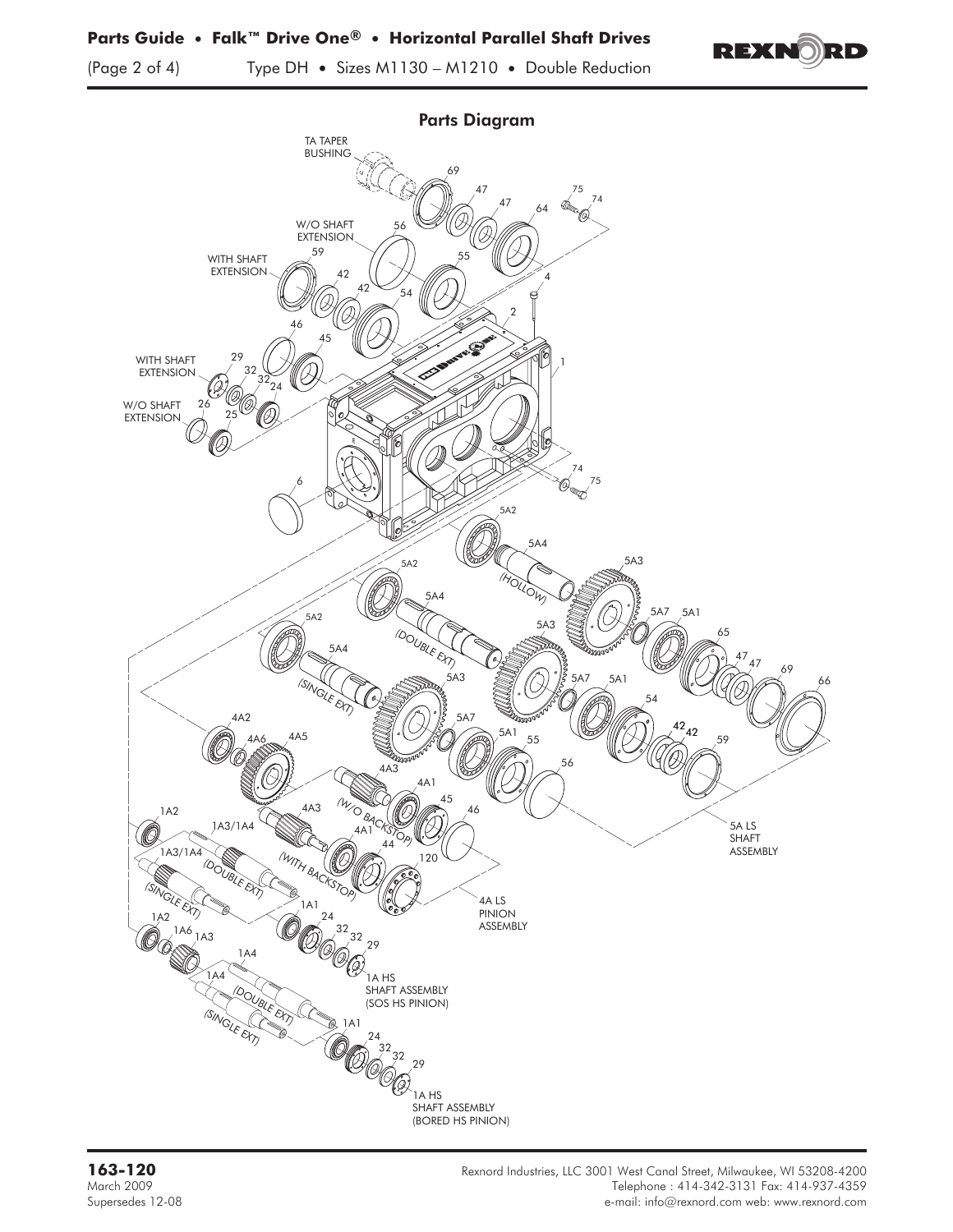(Page 2 of 4) Type DH **•** Sizes M1130 – M1210 **•** Double Reduction



REXNORD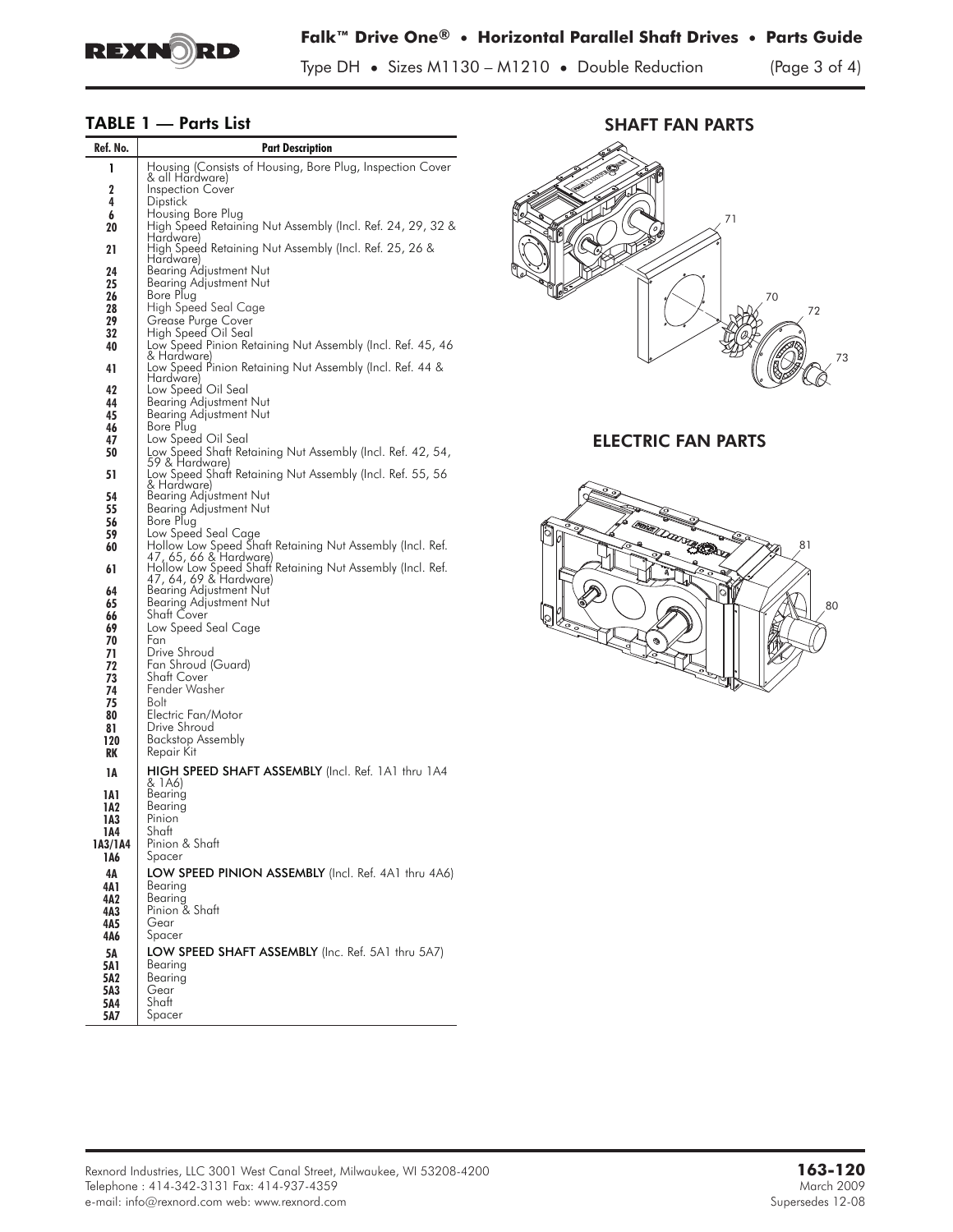

Type DH **•** Sizes M1130 – M1210 **•** Double Reduction (Page 3 of 4)

# **TABLE 1 — Parts List**

| Ref. No.       | <b>Part Description</b>                                                             |  |  |
|----------------|-------------------------------------------------------------------------------------|--|--|
| 1              | Housing (Consists of Housing, Bore Plug, Inspection Cover                           |  |  |
| 2              | & all Hardware)<br><b>Inspection Cover</b>                                          |  |  |
| 4              | <b>Dipstick</b>                                                                     |  |  |
| 6<br>20        | Housing Bore Plug<br>High Speed Retaining Nut Assembly (Incl. Ref. 24, 29, 32 &     |  |  |
|                | Hardware)                                                                           |  |  |
| 21             | High Speed Retaining Nut Assembly (Incl. Ref. 25, 26 &<br>Hardware)                 |  |  |
| 24             | Bearing Adjustment Nut<br>Bearing Adjustment Nut                                    |  |  |
| 25<br>26       | Bore Plug                                                                           |  |  |
| 28             | High Speed Seal Cage                                                                |  |  |
| 29<br>32       | Grease Purge Cover<br>High Speed Oil Seal                                           |  |  |
| 40             | Low Speed Pinion Retaining Nut Assembly (Incl. Ref. 45, 46                          |  |  |
| 41             | & Hardware)<br>Low Speed Pinion Retaining Nut Assembly (Incl. Ret. 44 &             |  |  |
| 42             | Hardware)<br>Low Speed Oil Seal                                                     |  |  |
| 44             | Bearing Adjustment Nut                                                              |  |  |
| 45<br>46       | Bearing Adjustment Nut<br>Bore Plug                                                 |  |  |
| 47             | Low Speed Oil Seal                                                                  |  |  |
| 50             | Low Speed Shaft Retaining Nut Assembly (Incl. Ref. 42, 54,<br>59 & Hardware)        |  |  |
| 51             | Low Speed Shaft Retaining Nut Assembly (Incl. Ref. 55, 56                           |  |  |
| 54             | & Hardware)<br>Bearing Adjustment Nut                                               |  |  |
| 55             | Bearing Adjustment Nut                                                              |  |  |
| 56<br>59       | Bore Plug<br>Low Speed Seal Cage                                                    |  |  |
| 60             | Hollow Low Speed Shaft Retaining Nut Assembly (Incl. Ref.                           |  |  |
| 61             | 47, 65, 66 & Hardware)<br>Hollow Low Speed Shaft Retaining Nut Assembly (Incl. Ref. |  |  |
| 64             | 47, 64, 69 & Hardware)<br>Bearing Adjustment Nut                                    |  |  |
| 65             | Bearing Adjustment Nut                                                              |  |  |
| 66<br>69       | Shatt Cover<br>Low Speed Seal Cage                                                  |  |  |
| 70             | Fan                                                                                 |  |  |
| 71<br>72       | Drive Shroud<br>Fan Shroud (Guard)                                                  |  |  |
| 73             | Shaft Cover                                                                         |  |  |
| 74             | Fender Washer<br>Bolt                                                               |  |  |
| 75<br>80       | Electric Fan/Motor                                                                  |  |  |
| 81             | Drive Shroud                                                                        |  |  |
| 120<br>RK      | <b>Backstop Assembly</b><br>Repair Kit                                              |  |  |
| 1А             | <b>HIGH SPEED SHAFT ASSEMBLY</b> (Incl. Ref. 1A1 thru 1A4                           |  |  |
| 1A 1           | & 1A6)<br>Bearing                                                                   |  |  |
| 1A2            | Bearing                                                                             |  |  |
| 1A3            | Pinion<br>Shaft                                                                     |  |  |
| 1A4<br>1A3/1A4 | Pinion & Shaft                                                                      |  |  |
| 1A6            | Spacer                                                                              |  |  |
| 4Α<br>4A 1     | LOW SPEED PINION ASSEMBLY (Incl. Ref. 4A1 thru 4A6)<br>Bearing                      |  |  |
| 4A2            | Bearing                                                                             |  |  |
| 4A3            | Pinion & Shaft<br>Gear                                                              |  |  |
| 4A5<br>4A6     | Spacer                                                                              |  |  |
| 5Α             | LOW SPEED SHAFT ASSEMBLY (Inc. Ref. 5A1 thru 5A7)                                   |  |  |
| 5A1<br>5A2     | Bearing<br>Bearing                                                                  |  |  |
| 5A3            | Gear                                                                                |  |  |
| 5A4            | Shaft                                                                               |  |  |
| 5A7            | Spacer                                                                              |  |  |





ELECTRIC FAN PARTS